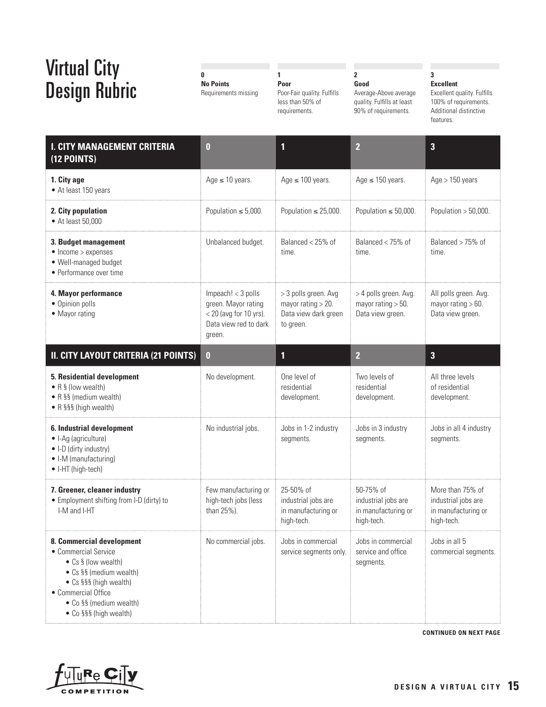**0 No Points**  Requirements missing

Poor-Fair quality. Fulfills less than 50% of requirements.

**1 Poor**

## **2 Good**

Average-Above average quality. Fulfills at least 90% of requirements.

## **3 Excellent**

Excellent quality. Fulfills 100% of requirements. Additional distinctive features.

| <b>I. CITY MANAGEMENT CRITERIA</b><br>$(12$ POINTS)                                                                                                                                                       | $\bf{0}$                                                                                                   | 1                                                                                  | 2                                                                     | $\overline{\mathbf{3}}$                                                      |
|-----------------------------------------------------------------------------------------------------------------------------------------------------------------------------------------------------------|------------------------------------------------------------------------------------------------------------|------------------------------------------------------------------------------------|-----------------------------------------------------------------------|------------------------------------------------------------------------------|
| 1. City age<br>• At least 150 years                                                                                                                                                                       | Age $\leq$ 10 years.                                                                                       | Age $\leq$ 100 years.                                                              | Age $\leq$ 150 years.                                                 | Age > 150 years                                                              |
| 2. City population<br>• At least 50,000                                                                                                                                                                   | Population $\leq 5,000$ .                                                                                  | Population $\leq$ 25,000.                                                          | Population $\leq 50,000$ .                                            | Population $> 50,000$ .                                                      |
| 3. Budget management<br>$\bullet$ Income > expenses<br>• Well-managed budget<br>• Performance over time                                                                                                   | Unbalanced budget.                                                                                         | Balanced $<$ 25% of<br>time.                                                       | Balanced $<$ 75% of<br>time.                                          | Balanced > 75% of<br>time.                                                   |
| 4. Mayor performance<br>• Opinion polls<br>• Mayor rating                                                                                                                                                 | Impeach! $<$ 3 polls<br>green. Mayor rating<br>$<$ 20 (avg for 10 yrs).<br>Data view red to dark<br>green. | > 3 polls green. Avg<br>mayor rating $> 20$ .<br>Data view dark green<br>to green. | > 4 polls green. Avg.<br>mayor rating $>$ 50.<br>Data view green.     | All polls green. Avg.<br>mayor rating $> 60$ .<br>Data view green.           |
| II. CITY LAYOUT CRITERIA (21 POINTS)                                                                                                                                                                      | $\bf{0}$                                                                                                   | 1                                                                                  | $\overline{2}$                                                        | $\overline{\mathbf{3}}$                                                      |
| 5. Residential development<br>• R § (low wealth)<br>• R §§ (medium wealth)<br>• R §§§ (high wealth)                                                                                                       | No development.                                                                                            | One level of<br>residential<br>development.                                        | Two levels of<br>residential<br>development.                          | All three levels<br>of residential<br>development.                           |
| 6. Industrial development<br>• I-Ag (agriculture)<br>• I-D (dirty industry)<br>• I-M (manufacturing)<br>• I-HT (high-tech)                                                                                | No industrial jobs.                                                                                        | Jobs in 1-2 industry<br>segments.                                                  | Jobs in 3 industry<br>segments.                                       | Jobs in all 4 industry<br>segments.                                          |
| 7. Greener, cleaner industry<br>• Employment shifting from I-D (dirty) to<br>I-M and I-HT                                                                                                                 | Few manufacturing or<br>high-tech jobs (less<br>than 25%).                                                 | 25-50% of<br>industrial jobs are<br>in manufacturing or<br>high-tech.              | 50-75% of<br>industrial jobs are<br>in manufacturing or<br>high-tech. | More than 75% of<br>industrial jobs are<br>in manufacturing or<br>high-tech. |
| 8. Commercial development<br>• Commercial Service<br>• Cs § (low wealth)<br>• Cs §§ (medium wealth)<br>• Cs §§§ (high wealth)<br>• Commercial Office<br>• Co §§ (medium wealth)<br>• Co §§§ (high wealth) | No commercial jobs.                                                                                        | Jobs in commercial<br>service segments only.                                       | Jobs in commercial<br>service and office<br>segments.                 | Jobs in all 5<br>commercial segments.                                        |

**CONTINUED ON NEXT PAGE**

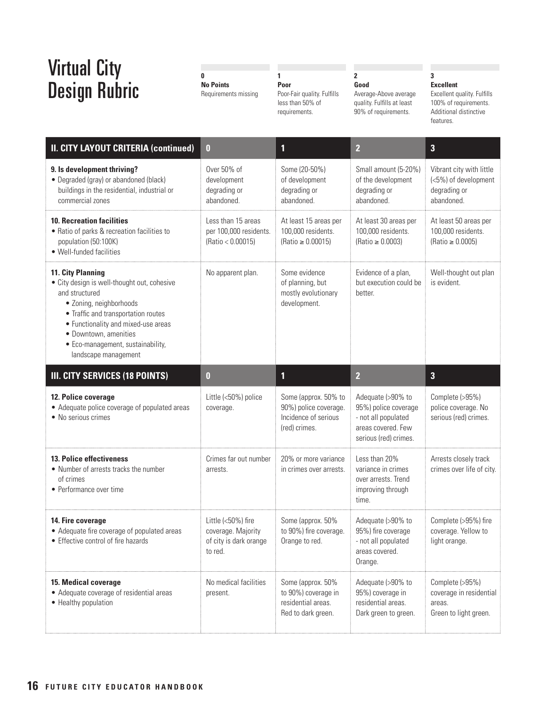**0 No Points**  Requirements missing

**1** 

**Poor** Poor-Fair quality. Fulfills  $less than 50\% of$ requirements.

### **2 Good**

Average-Above average quality. Fulfills at least 90% of requirements.

### **3 Excellent**

Excellent quality. Fulfills 100% of requirements. Additional distinctive features.

| <b>II. CITY LAYOUT CRITERIA (continued)</b>                                                                                                                                                                                                                                              | $\bf{0}$                                                                      | 1                                                                                      | $\overline{2}$                                                                                                  | $\overline{\mathbf{3}}$                                                        |
|------------------------------------------------------------------------------------------------------------------------------------------------------------------------------------------------------------------------------------------------------------------------------------------|-------------------------------------------------------------------------------|----------------------------------------------------------------------------------------|-----------------------------------------------------------------------------------------------------------------|--------------------------------------------------------------------------------|
| 9. Is development thriving?<br>• Degraded (gray) or abandoned (black)<br>buildings in the residential, industrial or<br>commercial zones                                                                                                                                                 | Over 50% of<br>development<br>degrading or<br>abandoned.                      | Some (20-50%)<br>of development<br>degrading or<br>abandoned.                          | Small amount (5-20%)<br>of the development<br>degrading or<br>abandoned.                                        | Vibrant city with little<br>(<5%) of development<br>degrading or<br>abandoned. |
| <b>10. Recreation facilities</b><br>• Ratio of parks & recreation facilities to<br>population (50:100K)<br>• Well-funded facilities                                                                                                                                                      | Less than 15 areas<br>per 100,000 residents.<br>(Ratio < 0.00015)             | At least 15 areas per<br>100,000 residents.<br>$(Ratio \ge 0.00015)$                   | At least 30 areas per<br>100,000 residents.<br>$(Ratio \ge 0.0003)$                                             | At least 50 areas per<br>100,000 residents.<br>$(Ratio \ge 0.0005)$            |
| <b>11. City Planning</b><br>• City design is well-thought out, cohesive<br>and structured<br>· Zoning, neighborhoods<br>• Traffic and transportation routes<br>• Functionality and mixed-use areas<br>· Downtown, amenities<br>• Eco-management, sustainability,<br>landscape management | No apparent plan.                                                             | Some evidence<br>of planning, but<br>mostly evolutionary<br>development.               | Evidence of a plan,<br>but execution could be<br>better.                                                        | Well-thought out plan<br>is evident.                                           |
| III. CITY SERVICES (18 POINTS)                                                                                                                                                                                                                                                           | $\bf{0}$                                                                      | 1                                                                                      | $\overline{2}$                                                                                                  | $\overline{\mathbf{3}}$                                                        |
| 12. Police coverage<br>• Adequate police coverage of populated areas<br>• No serious crimes                                                                                                                                                                                              | Little (<50%) police<br>coverage.                                             | Some (approx. 50% to<br>90%) police coverage.<br>Incidence of serious<br>(red) crimes. | Adequate (>90% to<br>95%) police coverage<br>- not all populated<br>areas covered. Few<br>serious (red) crimes. | Complete (>95%)<br>police coverage. No<br>serious (red) crimes.                |
| <b>13. Police effectiveness</b><br>• Number of arrests tracks the number<br>of crimes<br>• Performance over time                                                                                                                                                                         | Crimes far out number<br>arrests.                                             | 20% or more variance<br>in crimes over arrests.                                        | Less than 20%<br>variance in crimes<br>over arrests. Trend<br>improving through<br>time.                        | Arrests closely track<br>crimes over life of city.                             |
| 14. Fire coverage<br>• Adequate fire coverage of populated areas<br>• Effective control of fire hazards                                                                                                                                                                                  | Little (<50%) fire<br>coverage. Majority<br>of city is dark orange<br>to red. | Some (approx. 50%<br>to 90%) fire coverage.<br>Orange to red.                          | Adequate (>90% to<br>95%) fire coverage<br>not all populated<br>areas covered.<br>Orange.                       | Complete (>95%) fire<br>coverage. Yellow to<br>light orange.                   |
|                                                                                                                                                                                                                                                                                          |                                                                               |                                                                                        |                                                                                                                 |                                                                                |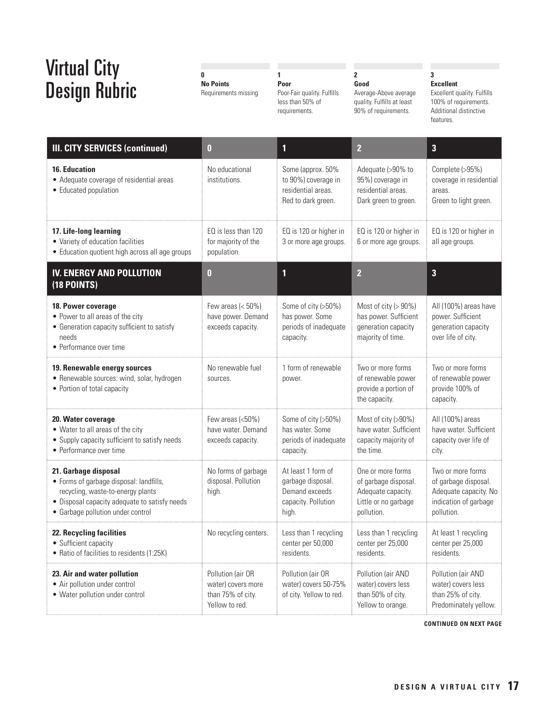**0 No Points**  Requirements missing

**1** 

**Poor** Poor-Fair quality. Fulfills less than 50% of requirements.

## **2 Good**

Average-Above average quality. Fulfills at least 90% of requirements.

## **3 Excellent**

Excellent quality. Fulfills 100% of requirements. Additional distinctive features.

| <b>III. CITY SERVICES (continued)</b>                                                                                                                                                      | $\bf{0}$                                                                       | 1                                                                                         | $\overline{2}$                                                                                        | 3                                                                                                         |
|--------------------------------------------------------------------------------------------------------------------------------------------------------------------------------------------|--------------------------------------------------------------------------------|-------------------------------------------------------------------------------------------|-------------------------------------------------------------------------------------------------------|-----------------------------------------------------------------------------------------------------------|
| <b>16. Education</b><br>• Adequate coverage of residential areas<br>• Educated population                                                                                                  | No educational<br>institutions.                                                | Some (approx. 50%<br>to 90%) coverage in<br>residential areas.<br>Red to dark green.      | Adequate (>90% to<br>95%) coverage in<br>residential areas.<br>Dark green to green.                   | Complete (>95%)<br>coverage in residential<br>areas.<br>Green to light green.                             |
| 17. Life-long learning<br>• Variety of education facilities<br>• Education quotient high across all age groups                                                                             | EQ is less than 120<br>for majority of the<br>population.                      | EQ is 120 or higher in<br>3 or more age groups.                                           | EQ is 120 or higher in<br>6 or more age groups.                                                       | EQ is 120 or higher in<br>all age groups.                                                                 |
| <b>IV. ENERGY AND POLLUTION</b><br>(18 POINTS)                                                                                                                                             | $\bf{0}$                                                                       | $\mathbf{1}$                                                                              | $\overline{2}$                                                                                        | 3                                                                                                         |
| 18. Power coverage<br>• Power to all areas of the city<br>• Generation capacity sufficient to satisfy<br>needs<br>• Performance over time                                                  | Few areas $(<50\%)$<br>have power. Demand<br>exceeds capacity.                 | Some of city (>50%)<br>has power. Some<br>periods of inadequate<br>capacity.              | Most of city (> 90%)<br>has power. Sufficient<br>generation capacity<br>majority of time.             | All (100%) areas have<br>power. Sufficient<br>generation capacity<br>over life of city.                   |
| 19. Renewable energy sources<br>• Renewable sources: wind, solar, hydrogen<br>• Portion of total capacity                                                                                  | No renewable fuel<br>sources.                                                  | 1 form of renewable<br>power.                                                             | Two or more forms<br>of renewable power<br>provide a portion of<br>the capacity.                      | Two or more forms<br>of renewable power<br>provide 100% of<br>capacity.                                   |
| 20. Water coverage<br>• Water to all areas of the city<br>• Supply capacity sufficient to satisfy needs<br>• Performance over time                                                         | Few areas (<50%)<br>have water. Demand<br>exceeds capacity.                    | Some of city (>50%)<br>has water. Some<br>periods of inadequate<br>capacity.              | Most of city (>90%)<br>have water. Sufficient<br>capacity majority of<br>the time.                    | All (100%) areas<br>have water. Sufficient<br>capacity over life of<br>city.                              |
| 21. Garbage disposal<br>• Forms of garbage disposal: landfills,<br>recycling, waste-to-energy plants<br>• Disposal capacity adequate to satisfy needs<br>• Garbage pollution under control | No forms of garbage<br>disposal. Pollution<br>high.                            | At least 1 form of<br>garbage disposal.<br>Demand exceeds<br>capacity. Pollution<br>high. | One or more forms<br>of garbage disposal.<br>Adequate capacity.<br>Little or no garbage<br>pollution. | Two or more forms<br>of garbage disposal.<br>Adequate capacity. No<br>indication of garbage<br>pollution. |
| 22. Recycling facilities<br>• Sufficient capacity<br>• Ratio of facilities to residents (1:25K)                                                                                            | No recycling centers.                                                          | Less than 1 recycling<br>center per 50,000<br>residents.                                  | Less than 1 recycling<br>center per 25,000<br>residents.                                              | At least 1 recycling<br>center per 25,000<br>residents.                                                   |
| 23. Air and water pollution<br>• Air pollution under control<br>• Water pollution under control                                                                                            | Pollution (air OR<br>water) covers more<br>than 75% of city.<br>Yellow to red. | Pollution (air OR<br>water) covers 50-75%<br>of city. Yellow to red.                      | Pollution (air AND<br>water) covers less<br>than 50% of city.<br>Yellow to orange.                    | Pollution (air AND<br>water) covers less<br>than 25% of city.<br>Predominately yellow.                    |

**CONTINUED ON NEXT PAGE**